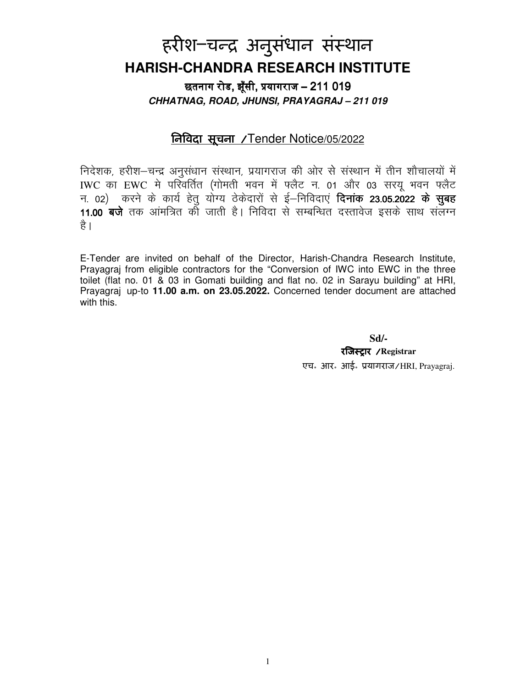# हरीश–चन्द्र अनुसंधान संस्थान **HARISH-CHANDRA RESEARCH INSTITUTE**

छतनाग रोड. झँसी. प्रयागराज – 211 019 **CHHATNAG, ROAD, JHUNSI, PRAYAGRAJ – 211 019** 

# िनवदा सूचना /Tender Notice/05/2022

निदेशक, हरीश-चन्द्र अनुसंधान संस्थान, प्रयागराज की ओर से संस्थान में तीन शौचालयों में IWC का EWC मे परिवर्तित (गोमती भवन में फ्लैट न. 01 और 03 सरयू भवन फ्लैट न. 02) करने के कार्य हेतु योग्य ठेकेदारों से ई–निविदाएं **दिनांक 23.05.2022 के सुबह** 11.00 बजे तक आंमत्रित की जाती है। निविदा से सम्बन्धित दस्तावेज इसके साथ संलग्न है।

E-Tender are invited on behalf of the Director, Harish-Chandra Research Institute, Prayagraj from eligible contractors for the "Conversion of IWC into EWC in the three toilet (flat no. 01 & 03 in Gomati building and flat no. 02 in Sarayu building" at HRI, Prayagraj up-to **11.00 a.m. on 23.05.2022.** Concerned tender document are attached with this.

**Sd/-** 

रजि**स्ट्रार** / Registrar एच॰ आर॰ आई॰ यागराज/HRI, Prayagraj.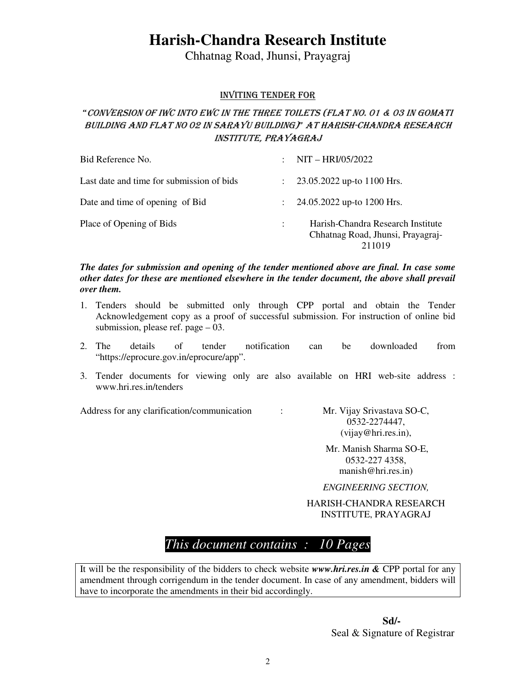# **Harish-Chandra Research Institute**

Chhatnag Road, Jhunsi, Prayagraj

#### INVITING TENDER FOR

### "CONVERSION OF IWC INTO EWC IN THE THREE TOILETS (FLAT NO. 01 & 03 IN GOMATI BUILDING AND FLAT NO 02 IN SARAYU BUILDING)" AT HARISH-CHANDRA RESEARCH INSTITUTE, PRAYAGRAJ

| Bid Reference No.                         | NIT - HRI/05/2022<br>$\mathcal{L}$                                               |
|-------------------------------------------|----------------------------------------------------------------------------------|
| Last date and time for submission of bids | $\therefore$ 23.05.2022 up-to 1100 Hrs.                                          |
| Date and time of opening of Bid           | $\therefore$ 24.05.2022 up-to 1200 Hrs.                                          |
| Place of Opening of Bids                  | Harish-Chandra Research Institute<br>Chhatnag Road, Jhunsi, Prayagraj-<br>211019 |

*The dates for submission and opening of the tender mentioned above are final. In case some other dates for these are mentioned elsewhere in the tender document, the above shall prevail over them.* 

- 1. Tenders should be submitted only through CPP portal and obtain the Tender Acknowledgement copy as a proof of successful submission. For instruction of online bid submission, please ref. page – 03.
- 2. The details of tender notification can be downloaded from "https://eprocure.gov.in/eprocure/app".
- 3. Tender documents for viewing only are also available on HRI web-site address : www.hri.res.in/tenders

Address for any clarification/communication : Mr. Vijay Srivastava SO-C,

0532-2274447, (vijay@hri.res.in),

 Mr. Manish Sharma SO-E, 0532-227 4358, manish@hri.res.in)

*ENGINEERING SECTION,* 

HARISH-CHANDRA RESEARCH INSTITUTE, PRAYAGRAJ

# *This document contains : 10 Pages*

It will be the responsibility of the bidders to check website *www.hri.res.in &* CPP portal for any amendment through corrigendum in the tender document. In case of any amendment, bidders will have to incorporate the amendments in their bid accordingly.

> **Sd/- Sd/-**<br>Seal & Signature of Registrar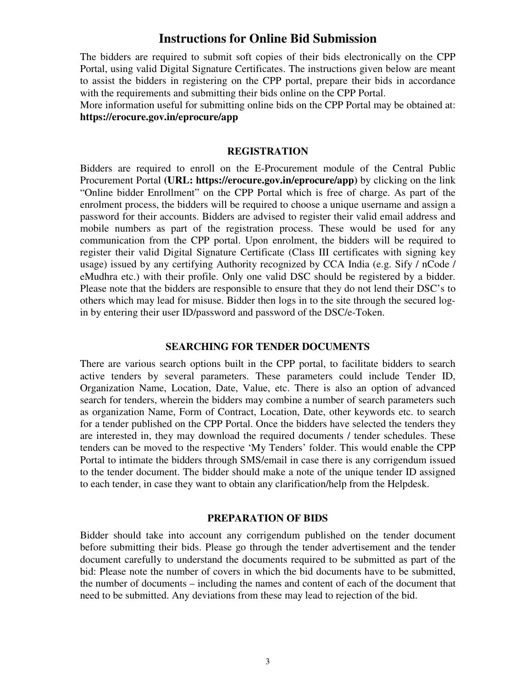### **Instructions for Online Bid Submission**

The bidders are required to submit soft copies of their bids electronically on the CPP Portal, using valid Digital Signature Certificates. The instructions given below are meant to assist the bidders in registering on the CPP portal, prepare their bids in accordance with the requirements and submitting their bids online on the CPP Portal.

More information useful for submitting online bids on the CPP Portal may be obtained at: **https://erocure.gov.in/eprocure/app**

#### **REGISTRATION**

Bidders are required to enroll on the E-Procurement module of the Central Public Procurement Portal **(URL: https://erocure.gov.in/eprocure/app)** by clicking on the link "Online bidder Enrollment" on the CPP Portal which is free of charge. As part of the enrolment process, the bidders will be required to choose a unique username and assign a password for their accounts. Bidders are advised to register their valid email address and mobile numbers as part of the registration process. These would be used for any communication from the CPP portal. Upon enrolment, the bidders will be required to register their valid Digital Signature Certificate (Class III certificates with signing key usage) issued by any certifying Authority recognized by CCA India (e.g. Sify / nCode / eMudhra etc.) with their profile. Only one valid DSC should be registered by a bidder. Please note that the bidders are responsible to ensure that they do not lend their DSC's to others which may lead for misuse. Bidder then logs in to the site through the secured login by entering their user ID/password and password of the DSC/e-Token.

#### **SEARCHING FOR TENDER DOCUMENTS**

There are various search options built in the CPP portal, to facilitate bidders to search active tenders by several parameters. These parameters could include Tender ID, Organization Name, Location, Date, Value, etc. There is also an option of advanced search for tenders, wherein the bidders may combine a number of search parameters such as organization Name, Form of Contract, Location, Date, other keywords etc. to search for a tender published on the CPP Portal. Once the bidders have selected the tenders they are interested in, they may download the required documents / tender schedules. These tenders can be moved to the respective 'My Tenders' folder. This would enable the CPP Portal to intimate the bidders through SMS/email in case there is any corrigendum issued to the tender document. The bidder should make a note of the unique tender ID assigned to each tender, in case they want to obtain any clarification/help from the Helpdesk.

#### **PREPARATION OF BIDS**

Bidder should take into account any corrigendum published on the tender document before submitting their bids. Please go through the tender advertisement and the tender document carefully to understand the documents required to be submitted as part of the bid: Please note the number of covers in which the bid documents have to be submitted, the number of documents – including the names and content of each of the document that need to be submitted. Any deviations from these may lead to rejection of the bid.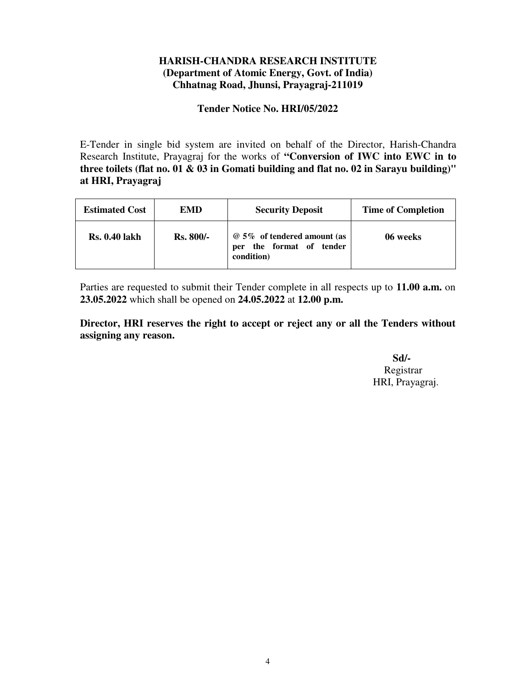### **HARISH-CHANDRA RESEARCH INSTITUTE (Department of Atomic Energy, Govt. of India) Chhatnag Road, Jhunsi, Prayagraj-211019**

#### **Tender Notice No. HRI/05/2022**

E-Tender in single bid system are invited on behalf of the Director, Harish-Chandra Research Institute, Prayagraj for the works of **"Conversion of IWC into EWC in to three toilets (flat no. 01 & 03 in Gomati building and flat no. 02 in Sarayu building)" at HRI, Prayagraj** 

| <b>Estimated Cost</b> | <b>EMD</b>       | <b>Security Deposit</b>                                                     | <b>Time of Completion</b> |  |  |
|-----------------------|------------------|-----------------------------------------------------------------------------|---------------------------|--|--|
| <b>Rs. 0.40 lakh</b>  | <b>Rs. 800/-</b> | @ 5% of tendered amount (as<br>the format of<br>tender<br>per<br>condition) | 06 weeks                  |  |  |

Parties are requested to submit their Tender complete in all respects up to **11.00 a.m.** on **23.05.2022** which shall be opened on **24.05.2022** at **12.00 p.m.**

**Director, HRI reserves the right to accept or reject any or all the Tenders without assigning any reason.** 

 **Sd/-** Registrar HRI, Prayagraj.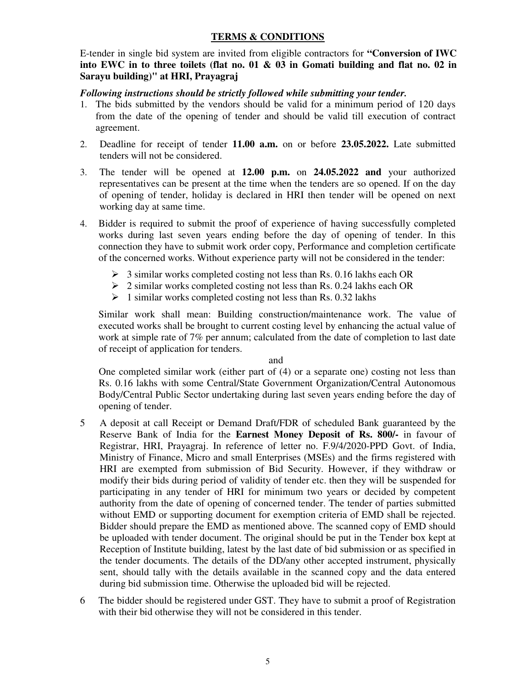#### **TERMS & CONDITIONS**

E-tender in single bid system are invited from eligible contractors for **"Conversion of IWC into EWC in to three toilets (flat no. 01 & 03 in Gomati building and flat no. 02 in Sarayu building)" at HRI, Prayagraj** 

#### *Following instructions should be strictly followed while submitting your tender.*

- 1. The bids submitted by the vendors should be valid for a minimum period of 120 days from the date of the opening of tender and should be valid till execution of contract agreement.
- 2. Deadline for receipt of tender **11.00 a.m.** on or before **23.05.2022.** Late submitted tenders will not be considered.
- 3. The tender will be opened at **12.00 p.m.** on **24.05.2022 and** your authorized representatives can be present at the time when the tenders are so opened. If on the day of opening of tender, holiday is declared in HRI then tender will be opened on next working day at same time.
- 4. Bidder is required to submit the proof of experience of having successfully completed works during last seven years ending before the day of opening of tender. In this connection they have to submit work order copy, Performance and completion certificate of the concerned works. Without experience party will not be considered in the tender:
	- $\geq 3$  similar works completed costing not less than Rs. 0.16 lakhs each OR
	- $\geq$  2 similar works completed costing not less than Rs. 0.24 lakhs each OR
	- $\geq 1$  similar works completed costing not less than Rs. 0.32 lakhs

Similar work shall mean: Building construction/maintenance work. The value of executed works shall be brought to current costing level by enhancing the actual value of work at simple rate of 7% per annum; calculated from the date of completion to last date of receipt of application for tenders.

#### and

One completed similar work (either part of (4) or a separate one) costing not less than Rs. 0.16 lakhs with some Central/State Government Organization/Central Autonomous Body/Central Public Sector undertaking during last seven years ending before the day of opening of tender.

- 5 A deposit at call Receipt or Demand Draft/FDR of scheduled Bank guaranteed by the Reserve Bank of India for the **Earnest Money Deposit of Rs. 800/-** in favour of Registrar, HRI, Prayagraj. In reference of letter no. F.9/4/2020-PPD Govt. of India, Ministry of Finance, Micro and small Enterprises (MSEs) and the firms registered with HRI are exempted from submission of Bid Security. However, if they withdraw or modify their bids during period of validity of tender etc. then they will be suspended for participating in any tender of HRI for minimum two years or decided by competent authority from the date of opening of concerned tender. The tender of parties submitted without EMD or supporting document for exemption criteria of EMD shall be rejected. Bidder should prepare the EMD as mentioned above. The scanned copy of EMD should be uploaded with tender document. The original should be put in the Tender box kept at Reception of Institute building, latest by the last date of bid submission or as specified in the tender documents. The details of the DD/any other accepted instrument, physically sent, should tally with the details available in the scanned copy and the data entered during bid submission time. Otherwise the uploaded bid will be rejected.
- 6 The bidder should be registered under GST. They have to submit a proof of Registration with their bid otherwise they will not be considered in this tender.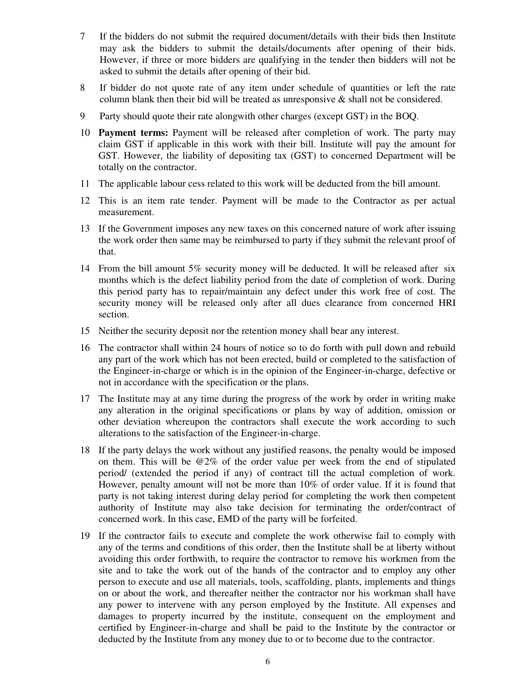- 7 If the bidders do not submit the required document/details with their bids then Institute may ask the bidders to submit the details/documents after opening of their bids. However, if three or more bidders are qualifying in the tender then bidders will not be asked to submit the details after opening of their bid.
- 8 If bidder do not quote rate of any item under schedule of quantities or left the rate column blank then their bid will be treated as unresponsive  $\&$  shall not be considered.
- 9 Party should quote their rate alongwith other charges (except GST) in the BOQ.
- 10 **Payment terms:** Payment will be released after completion of work. The party may claim GST if applicable in this work with their bill. Institute will pay the amount for GST. However, the liability of depositing tax (GST) to concerned Department will be totally on the contractor.
- 11 The applicable labour cess related to this work will be deducted from the bill amount.
- 12 This is an item rate tender. Payment will be made to the Contractor as per actual measurement.
- 13 If the Government imposes any new taxes on this concerned nature of work after issuing the work order then same may be reimbursed to party if they submit the relevant proof of that.
- 14 From the bill amount 5% security money will be deducted. It will be released after six months which is the defect liability period from the date of completion of work. During this period party has to repair/maintain any defect under this work free of cost. The security money will be released only after all dues clearance from concerned HRI section.
- 15 Neither the security deposit nor the retention money shall bear any interest.
- 16 The contractor shall within 24 hours of notice so to do forth with pull down and rebuild any part of the work which has not been erected, build or completed to the satisfaction of the Engineer-in-charge or which is in the opinion of the Engineer-in-charge, defective or not in accordance with the specification or the plans.
- 17 The Institute may at any time during the progress of the work by order in writing make any alteration in the original specifications or plans by way of addition, omission or other deviation whereupon the contractors shall execute the work according to such alterations to the satisfaction of the Engineer-in-charge.
- 18 If the party delays the work without any justified reasons, the penalty would be imposed on them. This will be @2% of the order value per week from the end of stipulated period/ (extended the period if any) of contract till the actual completion of work. However, penalty amount will not be more than 10% of order value. If it is found that party is not taking interest during delay period for completing the work then competent authority of Institute may also take decision for terminating the order/contract of concerned work. In this case, EMD of the party will be forfeited.
- 19 If the contractor fails to execute and complete the work otherwise fail to comply with any of the terms and conditions of this order, then the Institute shall be at liberty without avoiding this order forthwith, to require the contractor to remove his workmen from the site and to take the work out of the hands of the contractor and to employ any other person to execute and use all materials, tools, scaffolding, plants, implements and things on or about the work, and thereafter neither the contractor nor his workman shall have any power to intervene with any person employed by the Institute. All expenses and damages to property incurred by the institute, consequent on the employment and certified by Engineer-in-charge and shall be paid to the Institute by the contractor or deducted by the Institute from any money due to or to become due to the contractor.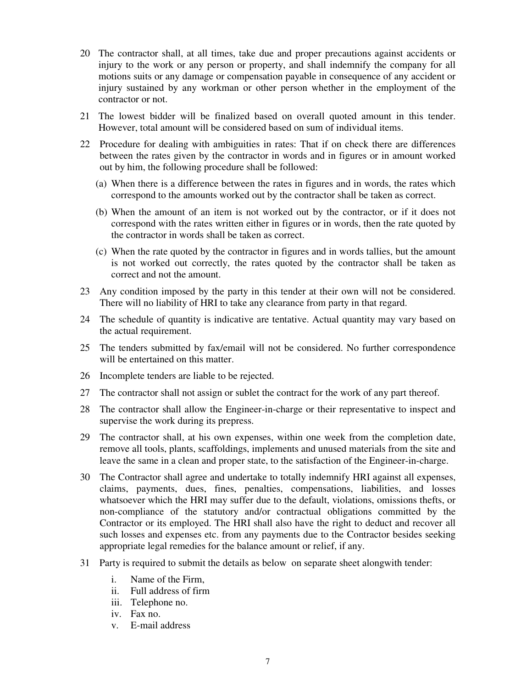- 20 The contractor shall, at all times, take due and proper precautions against accidents or injury to the work or any person or property, and shall indemnify the company for all motions suits or any damage or compensation payable in consequence of any accident or injury sustained by any workman or other person whether in the employment of the contractor or not.
- 21 The lowest bidder will be finalized based on overall quoted amount in this tender. However, total amount will be considered based on sum of individual items.
- 22 Procedure for dealing with ambiguities in rates: That if on check there are differences between the rates given by the contractor in words and in figures or in amount worked out by him, the following procedure shall be followed:
	- (a) When there is a difference between the rates in figures and in words, the rates which correspond to the amounts worked out by the contractor shall be taken as correct.
	- (b) When the amount of an item is not worked out by the contractor, or if it does not correspond with the rates written either in figures or in words, then the rate quoted by the contractor in words shall be taken as correct.
	- (c) When the rate quoted by the contractor in figures and in words tallies, but the amount is not worked out correctly, the rates quoted by the contractor shall be taken as correct and not the amount.
- 23 Any condition imposed by the party in this tender at their own will not be considered. There will no liability of HRI to take any clearance from party in that regard.
- 24 The schedule of quantity is indicative are tentative. Actual quantity may vary based on the actual requirement.
- 25 The tenders submitted by fax/email will not be considered. No further correspondence will be entertained on this matter.
- 26 Incomplete tenders are liable to be rejected.
- 27 The contractor shall not assign or sublet the contract for the work of any part thereof.
- 28 The contractor shall allow the Engineer-in-charge or their representative to inspect and supervise the work during its prepress.
- 29 The contractor shall, at his own expenses, within one week from the completion date, remove all tools, plants, scaffoldings, implements and unused materials from the site and leave the same in a clean and proper state, to the satisfaction of the Engineer-in-charge.
- 30 The Contractor shall agree and undertake to totally indemnify HRI against all expenses, claims, payments, dues, fines, penalties, compensations, liabilities, and losses whatsoever which the HRI may suffer due to the default, violations, omissions thefts, or non-compliance of the statutory and/or contractual obligations committed by the Contractor or its employed. The HRI shall also have the right to deduct and recover all such losses and expenses etc. from any payments due to the Contractor besides seeking appropriate legal remedies for the balance amount or relief, if any.
- 31 Party is required to submit the details as below on separate sheet alongwith tender:
	- i. Name of the Firm,
	- ii. Full address of firm
	- iii. Telephone no.
	- iv. Fax no.
	- v. E-mail address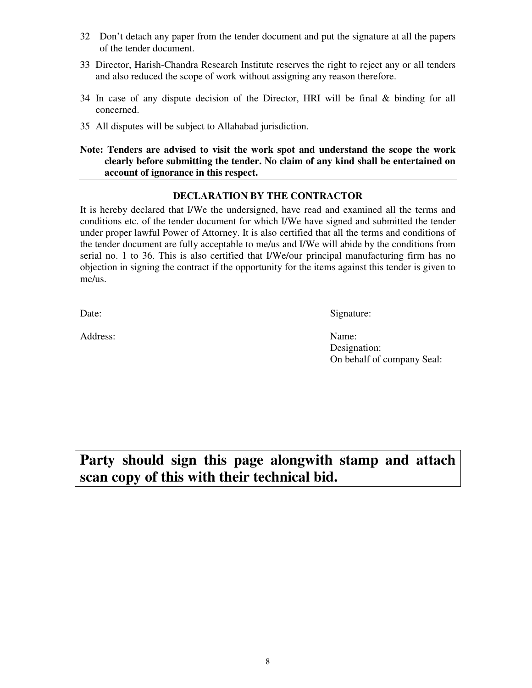- 32 Don't detach any paper from the tender document and put the signature at all the papers of the tender document.
- 33 Director, Harish-Chandra Research Institute reserves the right to reject any or all tenders and also reduced the scope of work without assigning any reason therefore.
- 34 In case of any dispute decision of the Director, HRI will be final & binding for all concerned.
- 35 All disputes will be subject to Allahabad jurisdiction.

#### **Note: Tenders are advised to visit the work spot and understand the scope the work clearly before submitting the tender. No claim of any kind shall be entertained on account of ignorance in this respect.**

#### **DECLARATION BY THE CONTRACTOR**

It is hereby declared that I/We the undersigned, have read and examined all the terms and conditions etc. of the tender document for which I/We have signed and submitted the tender under proper lawful Power of Attorney. It is also certified that all the terms and conditions of the tender document are fully acceptable to me/us and I/We will abide by the conditions from serial no. 1 to 36. This is also certified that I/We/our principal manufacturing firm has no objection in signing the contract if the opportunity for the items against this tender is given to me/us.

Date: Signature:

Address: Name:

Designation: On behalf of company Seal:

**Party should sign this page alongwith stamp and attach scan copy of this with their technical bid.**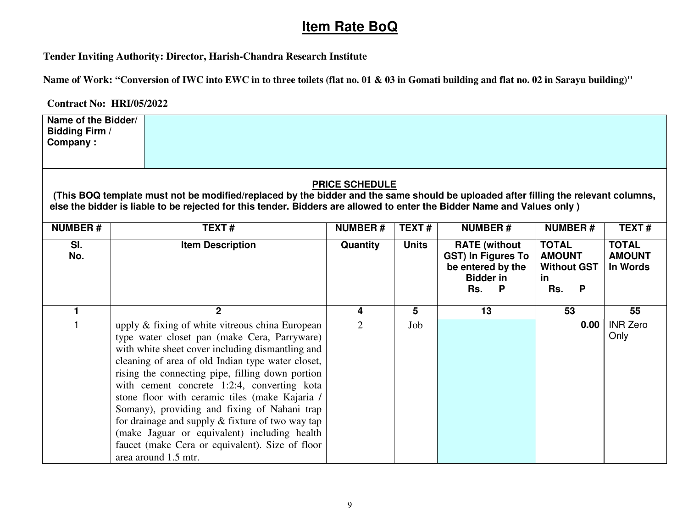# **Item Rate BoQ**

**Tender Inviting Authority: Director, Harish-Chandra Research Institute** 

**Name of Work: "Conversion of IWC into EWC in to three toilets (flat no. 01 & 03 in Gomati building and flat no. 02 in Sarayu building)"** 

**Contract No: HRI/05/2022** 

**Name of the Bidder/ Bidding Firm / Company :** 

## **PRICE SCHEDULE**

 **(This BOQ template must not be modified/replaced by the bidder and the same should be uploaded after filling the relevant columns, else the bidder is liable to be rejected for this tender. Bidders are allowed to enter the Bidder Name and Values only )** 

| <b>NUMBER#</b> | TEXT#                                                                                                                                                                                                                                                                                                                                                                                                                                                                                                                                                                                           | <b>NUMBER#</b> | TEXT#        | <b>NUMBER#</b>                                                                                                    | <b>NUMBER#</b>                                                               | <b>TEXT#</b>                              |
|----------------|-------------------------------------------------------------------------------------------------------------------------------------------------------------------------------------------------------------------------------------------------------------------------------------------------------------------------------------------------------------------------------------------------------------------------------------------------------------------------------------------------------------------------------------------------------------------------------------------------|----------------|--------------|-------------------------------------------------------------------------------------------------------------------|------------------------------------------------------------------------------|-------------------------------------------|
| SI.<br>No.     | <b>Item Description</b>                                                                                                                                                                                                                                                                                                                                                                                                                                                                                                                                                                         | Quantity       | <b>Units</b> | <b>RATE</b> (without<br><b>GST) In Figures To</b><br>be entered by the<br><b>Bidder in</b><br>Rs.<br>$\mathsf{P}$ | <b>TOTAL</b><br><b>AMOUNT</b><br><b>Without GST</b><br><u>in</u><br>Rs.<br>P | <b>TOTAL</b><br><b>AMOUNT</b><br>In Words |
|                | 2                                                                                                                                                                                                                                                                                                                                                                                                                                                                                                                                                                                               | 4              | 5            | 13                                                                                                                | 53                                                                           | 55                                        |
|                | upply & fixing of white vitreous china European<br>type water closet pan (make Cera, Parryware)<br>with white sheet cover including dismantling and<br>cleaning of area of old Indian type water closet,<br>rising the connecting pipe, filling down portion<br>with cement concrete 1:2:4, converting kota<br>stone floor with ceramic tiles (make Kajaria /<br>Somany), providing and fixing of Nahani trap<br>for drainage and supply $\&$ fixture of two way tap<br>(make Jaguar or equivalent) including health<br>faucet (make Cera or equivalent). Size of floor<br>area around 1.5 mtr. | 2              | Job          |                                                                                                                   | 0.00                                                                         | <b>INR Zero</b><br>Only                   |